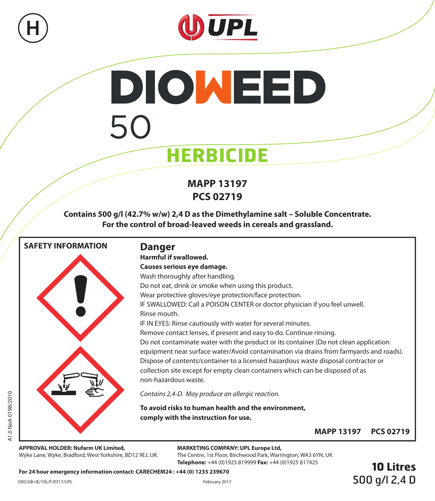



# **DIOWEED** 50 **HERBICIDE**

# **MAPP 13197 PCS 02719**

**Contains 500 g/l (42.7% w/w) 2,4 D as the Dimethylamine salt – Soluble Concentrate. For the control of broad-leaved weeds in cereals and grassland.**



**APPROVAL HOLDER: Nufarm UK Limited,** Wyke Lane, Wyke, Bradford, West Yorkshire, BD12 9EJ, UK.

#### **MARKETING COMPANY: UPL Europe Ltd,**

The Centre, 1st Floor, Birchwood Park, Warrington, WA3 6YN, UK **Telephone:** +44 (0)1925 819999 **Fax:** +44 (0)1925 817425

**For 24 hour emergency information contact: CARECHEM24 : +44 (0) 1235 239670**

**10 Litres** 500 g/l 2,4 D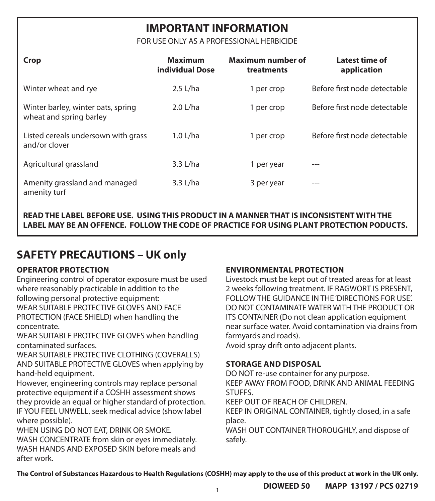# **IMPORTANT INFORMATION**

FOR USE ONLY AS A PROFESSIONAL HERBICIDE

| Crop                                                          | <b>Maximum</b><br>individual Dose | Maximum number of<br>treatments | Latest time of<br>application |
|---------------------------------------------------------------|-----------------------------------|---------------------------------|-------------------------------|
| Winter wheat and rye                                          | $2.5$ L/ha                        | 1 per crop                      | Before first node detectable  |
| Winter barley, winter oats, spring<br>wheat and spring barley | $2.0$ L/ha                        | 1 per crop                      | Before first node detectable  |
| Listed cereals undersown with grass<br>and/or clover          | $1.0$ L/ha                        | 1 per crop                      | Before first node detectable  |
| Agricultural grassland                                        | $3.3$ L/ha                        | 1 per year                      | $- - -$                       |
| Amenity grassland and managed<br>amenity turf                 | $3.3$ L/ha                        | 3 per year                      | $- - -$                       |

**READ THE LABEL BEFORE USE. USING THIS PRODUCT IN A MANNER THAT IS INCONSISTENT WITH THE LABEL MAY BE AN OFFENCE. FOLLOW THE CODE OF PRACTICE FOR USING PLANT PROTECTION PODUCTS.**

# **SAFETY PRECAUTIONS – UK only**

# **OPERATOR PROTECTION**

Engineering control of operator exposure must be used where reasonably practicable in addition to the following personal protective equipment: WEAR SUITABLE PROTECTIVE GLOVES AND FACE PROTECTION (FACE SHIELD) when handling the concentrate.

WEAR SUITABLE PROTECTIVE GLOVES when handling contaminated surfaces.

WEAR SUITABLE PROTECTIVE CLOTHING (COVERALLS) AND SUITABLE PROTECTIVE GLOVES when applying by hand-held equipment.

However, engineering controls may replace personal protective equipment if a COSHH assessment shows they provide an equal or higher standard of protection. IF YOU FEEL UNWELL, seek medical advice (show label where possible).

WHEN USING DO NOT EAT, DRINK OR SMOKE. WASH CONCENTRATE from skin or eyes immediately. WASH HANDS AND EXPOSED SKIN before meals and after work.

# **ENVIRONMENTAL PROTECTION**

Livestock must be kept out of treated areas for at least 2 weeks following treatment. IF RAGWORT IS PRESENT, FOLLOW THE GUIDANCE IN THE 'DIRECTIONS FOR USE'. DO NOT CONTAMINATE WATER WITH THE PRODUCT OR ITS CONTAINER (Do not clean application equipment near surface water. Avoid contamination via drains from farmyards and roads).

Avoid spray drift onto adjacent plants.

# **STORAGE AND DISPOSAL**

DO NOT re-use container for any purpose. KEEP AWAY FROM FOOD, DRINK AND ANIMAL FEEDING STUFFS. KEEP OUT OF REACH OF CHILDREN. KEEP IN ORIGINAL CONTAINER, tightly closed, in a safe

place. WASH OUT CONTAINER THOROUGHLY, and dispose of

safely.

**The Control of Substances Hazardous to Health Regulations (COSHH) may apply to the use of this product at work in the UK only.**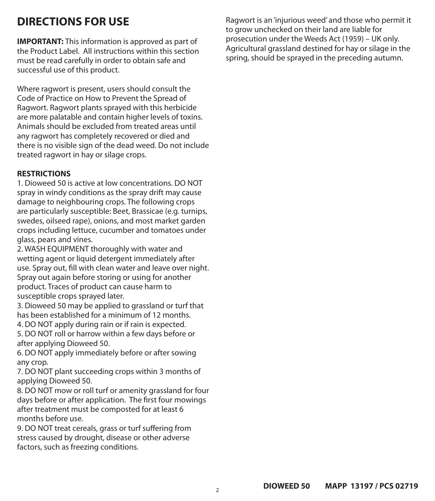# **DIRECTIONS FOR USE**

**IMPORTANT:** This information is approved as part of the Product Label. All instructions within this section must be read carefully in order to obtain safe and successful use of this product.

Where ragwort is present, users should consult the Code of Practice on How to Prevent the Spread of Ragwort. Ragwort plants sprayed with this herbicide are more palatable and contain higher levels of toxins. Animals should be excluded from treated areas until any ragwort has completely recovered or died and there is no visible sign of the dead weed. Do not include treated ragwort in hay or silage crops.

#### **RESTRICTIONS**

1. Dioweed 50 is active at low concentrations. DO NOT spray in windy conditions as the spray drift may cause damage to neighbouring crops. The following crops are particularly susceptible: Beet, Brassicae (e.g. turnips, swedes, oilseed rape), onions, and most market garden crops including lettuce, cucumber and tomatoes under glass, pears and vines.

2. WASH EQUIPMENT thoroughly with water and wetting agent or liquid detergent immediately after use. Spray out, fill with clean water and leave over night. Spray out again before storing or using for another product. Traces of product can cause harm to susceptible crops sprayed later.

3. Dioweed 50 may be applied to grassland or turf that has been established for a minimum of 12 months.

4. DO NOT apply during rain or if rain is expected.

5. DO NOT roll or harrow within a few days before or after applying Dioweed 50.

6. DO NOT apply immediately before or after sowing any crop.

7. DO NOT plant succeeding crops within 3 months of applying Dioweed 50.

8. DO NOT mow or roll turf or amenity grassland for four days before or after application. The first four mowings after treatment must be composted for at least 6 months before use.

9. DO NOT treat cereals, grass or turf suffering from stress caused by drought, disease or other adverse factors, such as freezing conditions.

Ragwort is an 'injurious weed' and those who permit it to grow unchecked on their land are liable for prosecution under the Weeds Act (1959) – UK only. Agricultural grassland destined for hay or silage in the spring, should be sprayed in the preceding autumn.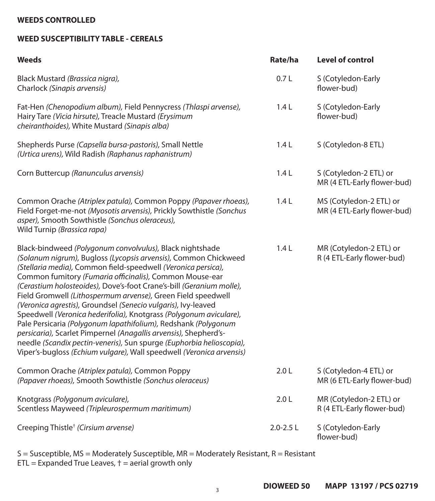## **WEEDS CONTROLLED**

# **WEED SUSCEPTIBILITY TABLE - CEREALS**

| Weeds                                                                                                                                                                                                                                                                                                                                                                                                                                                                                                                                                                                                                                                                                                                                                                                                                        | Rate/ha          | <b>Level of control</b>                                |
|------------------------------------------------------------------------------------------------------------------------------------------------------------------------------------------------------------------------------------------------------------------------------------------------------------------------------------------------------------------------------------------------------------------------------------------------------------------------------------------------------------------------------------------------------------------------------------------------------------------------------------------------------------------------------------------------------------------------------------------------------------------------------------------------------------------------------|------------------|--------------------------------------------------------|
| Black Mustard (Brassica nigra),<br>Charlock (Sinapis arvensis)                                                                                                                                                                                                                                                                                                                                                                                                                                                                                                                                                                                                                                                                                                                                                               | 0.7L             | S (Cotyledon-Early<br>flower-bud)                      |
| Fat-Hen (Chenopodium album), Field Pennycress (Thlaspi arvense),<br>Hairy Tare (Vicia hirsute), Treacle Mustard (Erysimum<br>cheiranthoides), White Mustard (Sinapis alba)                                                                                                                                                                                                                                                                                                                                                                                                                                                                                                                                                                                                                                                   | 1.4L             | S (Cotyledon-Early<br>flower-bud)                      |
| Shepherds Purse (Capsella bursa-pastoris), Small Nettle<br>(Urtica urens), Wild Radish (Raphanus raphanistrum)                                                                                                                                                                                                                                                                                                                                                                                                                                                                                                                                                                                                                                                                                                               | 1.4L             | S (Cotyledon-8 ETL)                                    |
| Corn Buttercup (Ranunculus arvensis)                                                                                                                                                                                                                                                                                                                                                                                                                                                                                                                                                                                                                                                                                                                                                                                         | 1.4L             | S (Cotyledon-2 ETL) or<br>MR (4 ETL-Early flower-bud)  |
| Common Orache (Atriplex patula), Common Poppy (Papaver rhoeas),<br>Field Forget-me-not (Myosotis arvensis), Prickly Sowthistle (Sonchus<br>asper), Smooth Sowthistle (Sonchus oleraceus),<br>Wild Turnip (Brassica rapa)                                                                                                                                                                                                                                                                                                                                                                                                                                                                                                                                                                                                     | 1.4L             | MS (Cotyledon-2 ETL) or<br>MR (4 ETL-Early flower-bud) |
| Black-bindweed (Polygonum convolvulus), Black nightshade<br>(Solanum nigrum), Bugloss (Lycopsis arvensis), Common Chickweed<br>(Stellaria media), Common field-speedwell (Veronica persica),<br>Common fumitory (Fumaria officinalis), Common Mouse-ear<br>(Cerastium holosteoides), Dove's-foot Crane's-bill (Geranium molle),<br>Field Gromwell (Lithospermum arvense), Green Field speedwell<br>(Veronica agrestis), Groundsel (Senecio vulgaris), Ivy-leaved<br>Speedwell (Veronica hederifolia), Knotgrass (Polygonum aviculare),<br>Pale Persicaria (Polygonum lapathifolium), Redshank (Polygonum<br>persicaria), Scarlet Pimpernel (Anagallis arvensis), Shepherd's-<br>needle (Scandix pectin-veneris), Sun spurge (Euphorbia helioscopia),<br>Viper's-bugloss (Echium vulgare), Wall speedwell (Veronica arvensis) | 1.4L             | MR (Cotyledon-2 ETL) or<br>R (4 ETL-Early flower-bud)  |
| Common Orache (Atriplex patula), Common Poppy<br>(Papaver rhoeas), Smooth Sowthistle (Sonchus oleraceus)                                                                                                                                                                                                                                                                                                                                                                                                                                                                                                                                                                                                                                                                                                                     | 2.0 <sub>L</sub> | S (Cotyledon-4 ETL) or<br>MR (6 ETL-Early flower-bud)  |
| Knotgrass (Polygonum aviculare),<br>Scentless Mayweed (Tripleurospermum maritimum)                                                                                                                                                                                                                                                                                                                                                                                                                                                                                                                                                                                                                                                                                                                                           | 2.0 <sub>L</sub> | MR (Cotyledon-2 ETL) or<br>R (4 ETL-Early flower-bud)  |
| Creeping Thistle <sup>+</sup> (Cirsium arvense)                                                                                                                                                                                                                                                                                                                                                                                                                                                                                                                                                                                                                                                                                                                                                                              | $2.0 - 2.5$ L    | S (Cotyledon-Early<br>flower-bud)                      |

S = Susceptible, MS = Moderately Susceptible, MR = Moderately Resistant, R = Resistant ETL = Expanded True Leaves, † = aerial growth only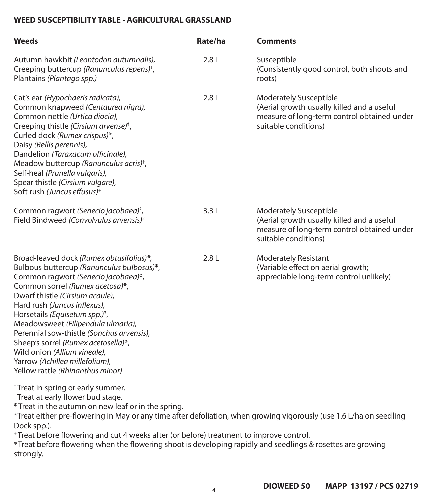# **WEED SUSCEPTIBILITY TABLE - AGRICULTURAL GRASSLAND**

| Weeds                                                                                                                                                                                                                                                                                                                                                                                                                                                                                                                                      | Rate/ha | <b>Comments</b>                                                                                                                                    |
|--------------------------------------------------------------------------------------------------------------------------------------------------------------------------------------------------------------------------------------------------------------------------------------------------------------------------------------------------------------------------------------------------------------------------------------------------------------------------------------------------------------------------------------------|---------|----------------------------------------------------------------------------------------------------------------------------------------------------|
| Autumn hawkbit (Leontodon autumnalis),<br>Creeping buttercup (Ranunculus repens) <sup>+</sup> ,<br>Plantains (Plantago spp.)                                                                                                                                                                                                                                                                                                                                                                                                               | 2.8L    | Susceptible<br>(Consistently good control, both shoots and<br>roots)                                                                               |
| Cat's ear (Hypochaeris radicata),<br>Common knapweed (Centaurea nigra),<br>Common nettle (Urtica diocia),<br>Creeping thistle (Cirsium arvense) <sup>+</sup> ,<br>Curled dock (Rumex crispus)*,<br>Daisy (Bellis perennis),<br>Dandelion (Taraxacum officinale),<br>Meadow buttercup (Ranunculus acris) <sup>+</sup> ,<br>Self-heal (Prunella vulgaris),<br>Spear thistle (Cirsium vulgare),<br>Soft rush (Juncus effusus) <sup>+</sup>                                                                                                    | 2.8L    | <b>Moderately Susceptible</b><br>(Aerial growth usually killed and a useful<br>measure of long-term control obtained under<br>suitable conditions) |
| Common ragwort (Senecio jacobaea) <sup>1</sup> ,<br>Field Bindweed (Convolvulus arvensis) <sup>2</sup>                                                                                                                                                                                                                                                                                                                                                                                                                                     | 3.3L    | Moderately Susceptible<br>(Aerial growth usually killed and a useful<br>measure of long-term control obtained under<br>suitable conditions)        |
| Broad-leaved dock (Rumex obtusifolius)*,<br>Bulbous buttercup (Ranunculus bulbosus) <sup>®</sup> ,<br>Common ragwort (Senecio jacobaea) <sup>®</sup> ,<br>Common sorrel (Rumex acetosa)*,<br>Dwarf thistle (Cirsium acaule),<br>Hard rush (Juncus inflexus),<br>Horsetails (Equisetum spp.) <sup>3</sup> ,<br>Meadowsweet (Filipendula ulmaria),<br>Perennial sow-thistle (Sonchus arvensis),<br>Sheep's sorrel (Rumex acetosella)*,<br>Wild onion (Allium vineale),<br>Yarrow (Achillea millefolium),<br>Yellow rattle (Rhinanthus minor) | 2.8L    | <b>Moderately Resistant</b><br>(Variable effect on aerial growth;<br>appreciable long-term control unlikely)                                       |
| <sup>+</sup> Treat in spring or early summer.<br>*Treat at early flower bud stage.<br><sup>®</sup> Treat in the autumn on new leaf or in the spring.<br>*Treat either pre-flowering in May or any time after defoliation, when growing vigorously (use 1.6 L/ha on seedling<br>Dock spp.).<br>+Treat before flowering and cut 4 weeks after (or before) treatment to improve control.<br>*Treat before flowering when the flowering shoot is developing rapidly and seedlings & rosettes are growing<br>strongly.                          |         |                                                                                                                                                    |

4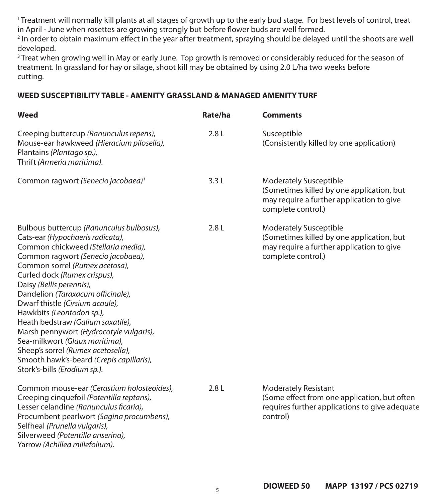<sup>1</sup> Treatment will normally kill plants at all stages of growth up to the early bud stage. For best levels of control, treat in April - June when rosettes are growing strongly but before flower buds are well formed.

2 In order to obtain maximum effect in the year after treatment, spraying should be delayed until the shoots are well developed.

3 Treat when growing well in May or early June. Top growth is removed or considerably reduced for the season of treatment. In grassland for hay or silage, shoot kill may be obtained by using 2.0 L/ha two weeks before cutting.

#### **WEED SUSCEPTIBILITY TABLE - AMENITY GRASSLAND & MANAGED AMENITY TURF**

| Weed                                                                                                                                                                                                                                                                                                                                                                                                                                                                                                                                                                                             | Rate/ha | <b>Comments</b>                                                                                                                               |
|--------------------------------------------------------------------------------------------------------------------------------------------------------------------------------------------------------------------------------------------------------------------------------------------------------------------------------------------------------------------------------------------------------------------------------------------------------------------------------------------------------------------------------------------------------------------------------------------------|---------|-----------------------------------------------------------------------------------------------------------------------------------------------|
| Creeping buttercup (Ranunculus repens),<br>Mouse-ear hawkweed (Hieracium pilosella),<br>Plantains (Plantago sp.),<br>Thrift (Armeria maritima).                                                                                                                                                                                                                                                                                                                                                                                                                                                  | 2.8L    | Susceptible<br>(Consistently killed by one application)                                                                                       |
| Common ragwort (Senecio jacobaea) <sup>1</sup>                                                                                                                                                                                                                                                                                                                                                                                                                                                                                                                                                   | 3.3L    | Moderately Susceptible<br>(Sometimes killed by one application, but<br>may require a further application to give<br>complete control.)        |
| Bulbous buttercup (Ranunculus bulbosus),<br>Cats-ear (Hypochaeris radicata),<br>Common chickweed (Stellaria media),<br>Common ragwort (Senecio jacobaea),<br>Common sorrel (Rumex acetosa),<br>Curled dock (Rumex crispus),<br>Daisy (Bellis perennis),<br>Dandelion (Taraxacum officinale),<br>Dwarf thistle (Cirsium acaule),<br>Hawkbits (Leontodon sp.),<br>Heath bedstraw (Galium saxatile),<br>Marsh pennywort (Hydrocotyle vulgaris),<br>Sea-milkwort (Glaux maritima),<br>Sheep's sorrel (Rumex acetosella),<br>Smooth hawk's-beard (Crepis capillaris),<br>Stork's-bills (Erodium sp.). | 2.8L    | <b>Moderately Susceptible</b><br>(Sometimes killed by one application, but<br>may require a further application to give<br>complete control.) |
| Common mouse-ear (Cerastium holosteoides),<br>Creeping cinquefoil (Potentilla reptans),<br>Lesser celandine (Ranunculus ficaria),<br>Procumbent pearlwort (Sagina procumbens),<br>Selfheal (Prunella vulgaris),<br>Silverweed (Potentilla anserina),<br>Yarrow (Achillea millefolium).                                                                                                                                                                                                                                                                                                           | 2.8L    | <b>Moderately Resistant</b><br>(Some effect from one application, but often<br>requires further applications to give adequate<br>control)     |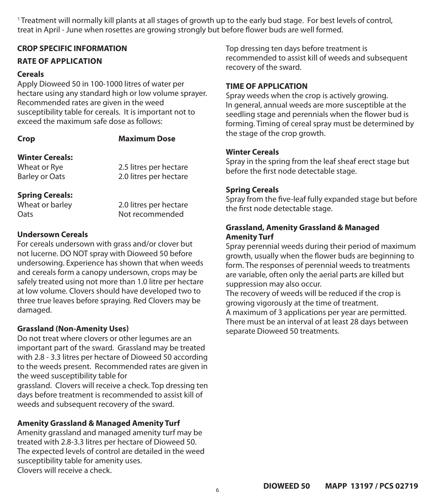<sup>1</sup> Treatment will normally kill plants at all stages of growth up to the early bud stage. For best levels of control, treat in April - June when rosettes are growing strongly but before flower buds are well formed.

#### **CROP SPECIFIC INFORMATION**

#### **RATE OF APPLICATION**

#### **Cereals**

Apply Dioweed 50 in 100-1000 litres of water per hectare using any standard high or low volume sprayer. Recommended rates are given in the weed susceptibility table for cereals. It is important not to exceed the maximum safe dose as follows:

#### **Crop**

#### **Maximum Dose**

# **Winter Cereals:**

Wheat or Rye Barley or Oats 2.5 litres per hectare 2.0 litres per hectare

#### **Spring Cereals:**

Wheat or barley Oats

2.0 litres per hectare Not recommended

#### **Undersown Cereals**

For cereals undersown with grass and/or clover but not lucerne. DO NOT spray with Dioweed 50 before undersowing. Experience has shown that when weeds and cereals form a canopy undersown, crops may be safely treated using not more than 1.0 litre per hectare at low volume. Clovers should have developed two to three true leaves before spraying. Red Clovers may be damaged.

#### **Grassland (Non-Amenity Uses)**

Do not treat where clovers or other legumes are an important part of the sward. Grassland may be treated with 2.8 - 3.3 litres per hectare of Dioweed 50 according to the weeds present. Recommended rates are given in the weed susceptibility table for grassland. Clovers will receive a check. Top dressing ten

days before treatment is recommended to assist kill of weeds and subsequent recovery of the sward.

## **Amenity Grassland & Managed Amenity Turf**

Amenity grassland and managed amenity turf may be treated with 2.8-3.3 litres per hectare of Dioweed 50. The expected levels of control are detailed in the weed susceptibility table for amenity uses. Clovers will receive a check.

Top dressing ten days before treatment is recommended to assist kill of weeds and subsequent recovery of the sward.

# **TIME OF APPLICATION**

Spray weeds when the crop is actively growing. In general, annual weeds are more susceptible at the seedling stage and perennials when the flower bud is forming. Timing of cereal spray must be determined by the stage of the crop growth.

# **Winter Cereals**

Spray in the spring from the leaf sheaf erect stage but before the first node detectable stage.

# **Spring Cereals**

Spray from the five-leaf fully expanded stage but before the first node detectable stage.

## **Grassland, Amenity Grassland & Managed Amenity Turf**

Spray perennial weeds during their period of maximum growth, usually when the flower buds are beginning to form. The responses of perennial weeds to treatments are variable, often only the aerial parts are killed but suppression may also occur.

The recovery of weeds will be reduced if the crop is growing vigorously at the time of treatment. A maximum of 3 applications per year are permitted. There must be an interval of at least 28 days between separate Dioweed 50 treatments.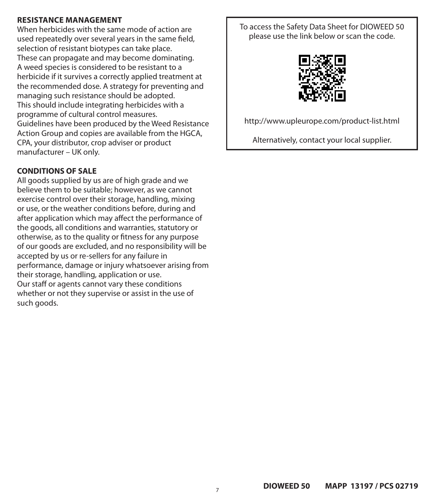## **RESISTANCE MANAGEMENT**

When herbicides with the same mode of action are used repeatedly over several years in the same field, selection of resistant biotypes can take place. These can propagate and may become dominating. A weed species is considered to be resistant to a herbicide if it survives a correctly applied treatment at the recommended dose. A strategy for preventing and managing such resistance should be adopted. This should include integrating herbicides with a programme of cultural control measures. Guidelines have been produced by the Weed Resistance Action Group and copies are available from the HGCA, CPA, your distributor, crop adviser or product manufacturer – UK only.

## **CONDITIONS OF SALE**

All goods supplied by us are of high grade and we believe them to be suitable; however, as we cannot exercise control over their storage, handling, mixing or use, or the weather conditions before, during and after application which may affect the performance of the goods, all conditions and warranties, statutory or otherwise, as to the quality or fitness for any purpose of our goods are excluded, and no responsibility will be accepted by us or re-sellers for any failure in performance, damage or injury whatsoever arising from their storage, handling, application or use. Our staff or agents cannot vary these conditions whether or not they supervise or assist in the use of such goods.

To access the Safety Data Sheet for DIOWEED 50 please use the link below or scan the code.



http://www.upleurope.com/product-list.html

Alternatively, contact your local supplier.